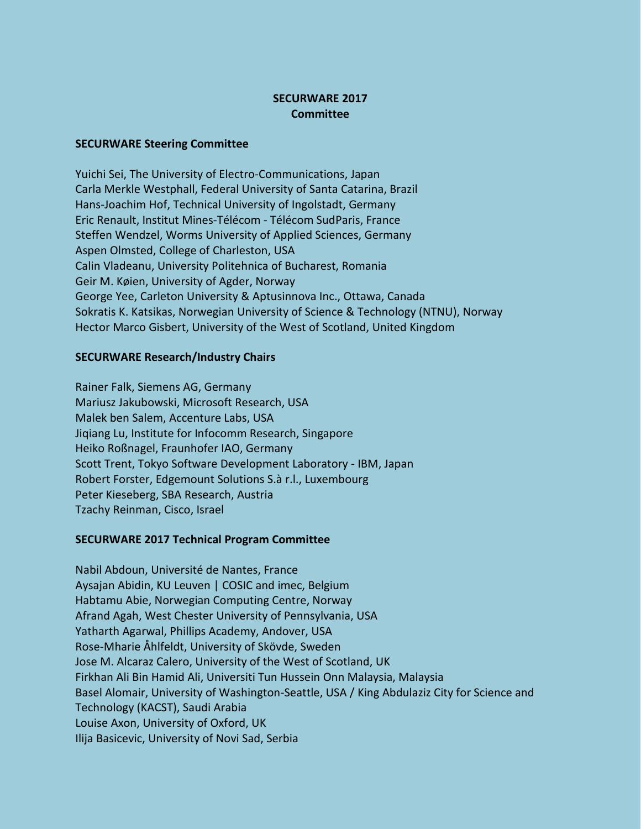## **SECURWARE 2017 Committee**

## **SECURWARE Steering Committee**

Yuichi Sei, The University of Electro-Communications, Japan Carla Merkle Westphall, Federal University of Santa Catarina, Brazil Hans-Joachim Hof, Technical University of Ingolstadt, Germany Eric Renault, Institut Mines-Télécom - Télécom SudParis, France Steffen Wendzel, Worms University of Applied Sciences, Germany Aspen Olmsted, College of Charleston, USA Calin Vladeanu, University Politehnica of Bucharest, Romania Geir M. Køien, University of Agder, Norway George Yee, Carleton University & Aptusinnova Inc., Ottawa, Canada Sokratis K. Katsikas, Norwegian University of Science & Technology (NTNU), Norway Hector Marco Gisbert, University of the West of Scotland, United Kingdom

## **SECURWARE Research/Industry Chairs**

Rainer Falk, Siemens AG, Germany Mariusz Jakubowski, Microsoft Research, USA Malek ben Salem, Accenture Labs, USA Jiqiang Lu, Institute for Infocomm Research, Singapore Heiko Roßnagel, Fraunhofer IAO, Germany Scott Trent, Tokyo Software Development Laboratory - IBM, Japan Robert Forster, Edgemount Solutions S.à r.l., Luxembourg Peter Kieseberg, SBA Research, Austria Tzachy Reinman, Cisco, Israel

## **SECURWARE 2017 Technical Program Committee**

Nabil Abdoun, Université de Nantes, France Aysajan Abidin, KU Leuven | COSIC and imec, Belgium Habtamu Abie, Norwegian Computing Centre, Norway Afrand Agah, West Chester University of Pennsylvania, USA Yatharth Agarwal, Phillips Academy, Andover, USA Rose-Mharie Åhlfeldt, University of Skövde, Sweden Jose M. Alcaraz Calero, University of the West of Scotland, UK Firkhan Ali Bin Hamid Ali, Universiti Tun Hussein Onn Malaysia, Malaysia Basel Alomair, University of Washington-Seattle, USA / King Abdulaziz City for Science and Technology (KACST), Saudi Arabia Louise Axon, University of Oxford, UK Ilija Basicevic, University of Novi Sad, Serbia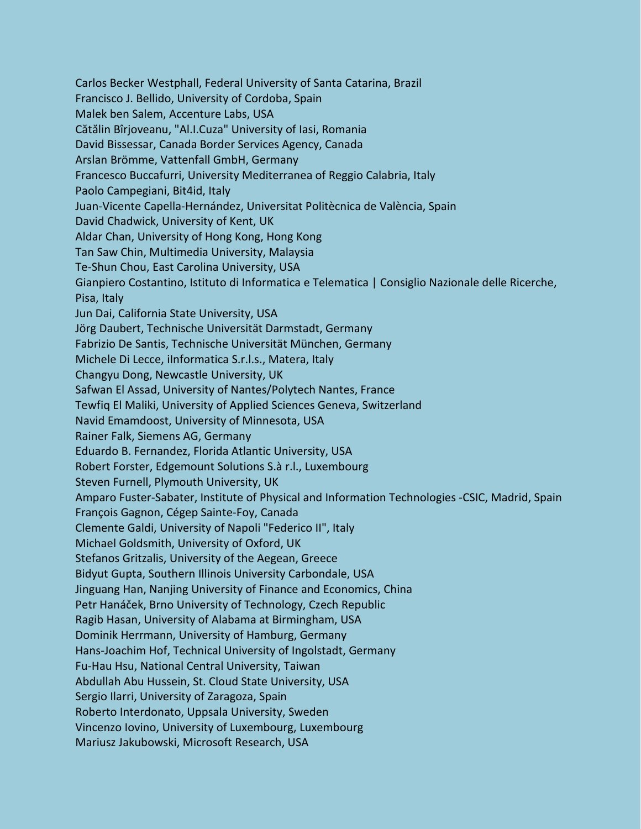Carlos Becker Westphall, Federal University of Santa Catarina, Brazil Francisco J. Bellido, University of Cordoba, Spain Malek ben Salem, Accenture Labs, USA Cătălin Bîrjoveanu, "Al.I.Cuza" University of Iasi, Romania David Bissessar, Canada Border Services Agency, Canada Arslan Brömme, Vattenfall GmbH, Germany Francesco Buccafurri, University Mediterranea of Reggio Calabria, Italy Paolo Campegiani, Bit4id, Italy Juan-Vicente Capella-Hernández, Universitat Politècnica de València, Spain David Chadwick, University of Kent, UK Aldar Chan, University of Hong Kong, Hong Kong Tan Saw Chin, Multimedia University, Malaysia Te-Shun Chou, East Carolina University, USA Gianpiero Costantino, Istituto di Informatica e Telematica | Consiglio Nazionale delle Ricerche, Pisa, Italy Jun Dai, California State University, USA Jörg Daubert, Technische Universität Darmstadt, Germany Fabrizio De Santis, Technische Universität München, Germany Michele Di Lecce, iInformatica S.r.l.s., Matera, Italy Changyu Dong, Newcastle University, UK Safwan El Assad, University of Nantes/Polytech Nantes, France Tewfiq El Maliki, University of Applied Sciences Geneva, Switzerland Navid Emamdoost, University of Minnesota, USA Rainer Falk, Siemens AG, Germany Eduardo B. Fernandez, Florida Atlantic University, USA Robert Forster, Edgemount Solutions S.à r.l., Luxembourg Steven Furnell, Plymouth University, UK Amparo Fuster-Sabater, Institute of Physical and Information Technologies -CSIC, Madrid, Spain François Gagnon, Cégep Sainte-Foy, Canada Clemente Galdi, University of Napoli "Federico II", Italy Michael Goldsmith, University of Oxford, UK Stefanos Gritzalis, University of the Aegean, Greece Bidyut Gupta, Southern Illinois University Carbondale, USA Jinguang Han, Nanjing University of Finance and Economics, China Petr Hanáček, Brno University of Technology, Czech Republic Ragib Hasan, University of Alabama at Birmingham, USA Dominik Herrmann, University of Hamburg, Germany Hans-Joachim Hof, Technical University of Ingolstadt, Germany Fu-Hau Hsu, National Central University, Taiwan Abdullah Abu Hussein, St. Cloud State University, USA Sergio Ilarri, University of Zaragoza, Spain Roberto Interdonato, Uppsala University, Sweden Vincenzo Iovino, University of Luxembourg, Luxembourg Mariusz Jakubowski, Microsoft Research, USA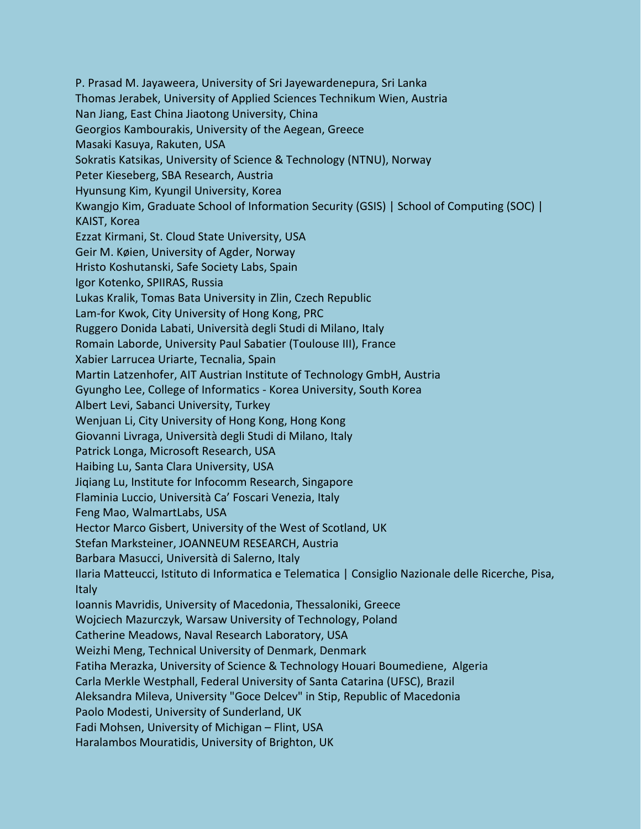P. Prasad M. Jayaweera, University of Sri Jayewardenepura, Sri Lanka Thomas Jerabek, University of Applied Sciences Technikum Wien, Austria Nan Jiang, East China Jiaotong University, China Georgios Kambourakis, University of the Aegean, Greece Masaki Kasuya, Rakuten, USA Sokratis Katsikas, University of Science & Technology (NTNU), Norway Peter Kieseberg, SBA Research, Austria Hyunsung Kim, Kyungil University, Korea Kwangjo Kim, Graduate School of Information Security (GSIS) | School of Computing (SOC) | KAIST, Korea Ezzat Kirmani, St. Cloud State University, USA Geir M. Køien, University of Agder, Norway Hristo Koshutanski, Safe Society Labs, Spain Igor Kotenko, SPIIRAS, Russia Lukas Kralik, Tomas Bata University in Zlin, Czech Republic Lam-for Kwok, City University of Hong Kong, PRC Ruggero Donida Labati, Università degli Studi di Milano, Italy Romain Laborde, University Paul Sabatier (Toulouse III), France Xabier Larrucea Uriarte, Tecnalia, Spain Martin Latzenhofer, AIT Austrian Institute of Technology GmbH, Austria Gyungho Lee, College of Informatics - Korea University, South Korea Albert Levi, Sabanci University, Turkey Wenjuan Li, City University of Hong Kong, Hong Kong Giovanni Livraga, Università degli Studi di Milano, Italy Patrick Longa, Microsoft Research, USA Haibing Lu, Santa Clara University, USA Jiqiang Lu, Institute for Infocomm Research, Singapore Flaminia Luccio, Università Ca' Foscari Venezia, Italy Feng Mao, WalmartLabs, USA Hector Marco Gisbert, University of the West of Scotland, UK Stefan Marksteiner, JOANNEUM RESEARCH, Austria Barbara Masucci, Università di Salerno, Italy Ilaria Matteucci, Istituto di Informatica e Telematica | Consiglio Nazionale delle Ricerche, Pisa, Italy Ioannis Mavridis, University of Macedonia, Thessaloniki, Greece Wojciech Mazurczyk, Warsaw University of Technology, Poland Catherine Meadows, Naval Research Laboratory, USA Weizhi Meng, Technical University of Denmark, Denmark Fatiha Merazka, University of Science & Technology Houari Boumediene, Algeria Carla Merkle Westphall, Federal University of Santa Catarina (UFSC), Brazil Aleksandra Mileva, University "Goce Delcev" in Stip, Republic of Macedonia Paolo Modesti, University of Sunderland, UK Fadi Mohsen, University of Michigan – Flint, USA Haralambos Mouratidis, University of Brighton, UK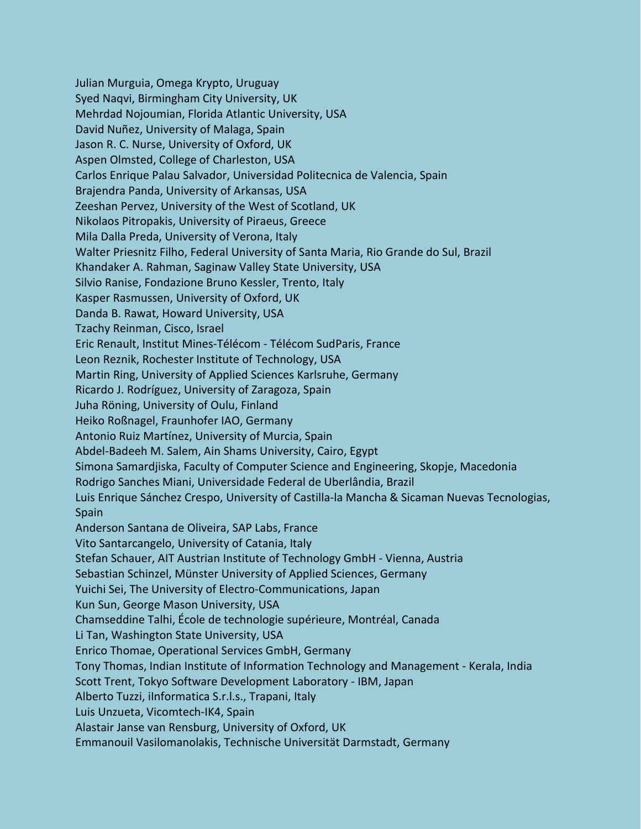Julian Murguia, Omega Krypto, Uruguay Syed Naqvi, Birmingham City University, UK Mehrdad Nojoumian, Florida Atlantic University, USA David Nuñez, University of Malaga, Spain Jason R. C. Nurse, University of Oxford, UK Aspen Olmsted, College of Charleston, USA Carlos Enrique Palau Salvador, Universidad Politecnica de Valencia, Spain Brajendra Panda, University of Arkansas, USA Zeeshan Pervez, University of the West of Scotland, UK Nikolaos Pitropakis, University of Piraeus, Greece Mila Dalla Preda, University of Verona, Italy Walter Priesnitz Filho, Federal University of Santa Maria, Rio Grande do Sul, Brazil Khandaker A. Rahman, Saginaw Valley State University, USA Silvio Ranise, Fondazione Bruno Kessler, Trento, Italy Kasper Rasmussen, University of Oxford, UK Danda B. Rawat, Howard University, USA Tzachy Reinman, Cisco, Israel Eric Renault, Institut Mines-Télécom - Télécom SudParis, France Leon Reznik, Rochester Institute of Technology, USA Martin Ring, University of Applied Sciences Karlsruhe, Germany Ricardo J. Rodríguez, University of Zaragoza, Spain Juha Röning, University of Oulu, Finland Heiko Roßnagel, Fraunhofer IAO, Germany Antonio Ruiz Martínez, University of Murcia, Spain Abdel-Badeeh M. Salem, Ain Shams University, Cairo, Egypt Simona Samardjiska, Faculty of Computer Science and Engineering, Skopje, Macedonia Rodrigo Sanches Miani, Universidade Federal de Uberlândia, Brazil Luis Enrique Sánchez Crespo, University of Castilla-la Mancha & Sicaman Nuevas Tecnologias, Spain Anderson Santana de Oliveira, SAP Labs, France Vito Santarcangelo, University of Catania, Italy Stefan Schauer, AIT Austrian Institute of Technology GmbH - Vienna, Austria Sebastian Schinzel, Münster University of Applied Sciences, Germany Yuichi Sei, The University of Electro-Communications, Japan Kun Sun, George Mason University, USA Chamseddine Talhi, École de technologie supérieure, Montréal, Canada Li Tan, Washington State University, USA Enrico Thomae, Operational Services GmbH, Germany Tony Thomas, Indian Institute of Information Technology and Management - Kerala, India Scott Trent, Tokyo Software Development Laboratory - IBM, Japan Alberto Tuzzi, iInformatica S.r.l.s., Trapani, Italy Luis Unzueta, Vicomtech-IK4, Spain Alastair Janse van Rensburg, University of Oxford, UK Emmanouil Vasilomanolakis, Technische Universität Darmstadt, Germany